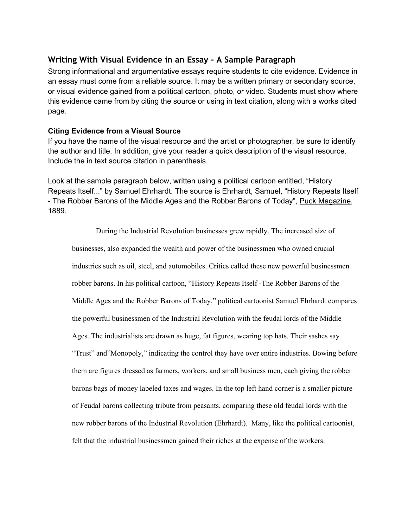## **Writing With Visual Evidence in an Essay - A Sample Paragraph**

Strong informational and argumentative essays require students to cite evidence. Evidence in an essay must come from a reliable source. It may be a written primary or secondary source, or visual evidence gained from a political cartoon, photo, or video. Students must show where this evidence came from by citing the source or using in text citation, along with a works cited page.

## **Citing Evidence from a Visual Source**

If you have the name of the visual resource and the artist or photographer, be sure to identify the author and title. In addition, give your reader a quick description of the visual resource. Include the in text source citation in parenthesis.

Look at the sample paragraph below, written using a political cartoon entitled, "History Repeats Itself..." by Samuel Ehrhardt. The source is Ehrhardt, Samuel, "History Repeats Itself - The Robber Barons of the Middle Ages and the Robber Barons of Today", Puck Magazine, 1889.

During the Industrial Revolution businesses grew rapidly. The increased size of businesses, also expanded the wealth and power of the businessmen who owned crucial industries such as oil, steel, and automobiles. Critics called these new powerful businessmen robber barons. In his political cartoon, "History Repeats Itself - The Robber Barons of the Middle Ages and the Robber Barons of Today," political cartoonist Samuel Ehrhardt compares the powerful businessmen of the Industrial Revolution with the feudal lords of the Middle Ages. The industrialists are drawn as huge, fat figures, wearing top hats. Their sashes say "Trust" and"Monopoly," indicating the control they have over entire industries. Bowing before them are figures dressed as farmers, workers, and small business men, each giving the robber barons bags of money labeled taxes and wages. In the top left hand corner is a smaller picture of Feudal barons collecting tribute from peasants, comparing these old feudal lords with the new robber barons of the Industrial Revolution (Ehrhardt). Many, like the political cartoonist, felt that the industrial businessmen gained their riches at the expense of the workers.